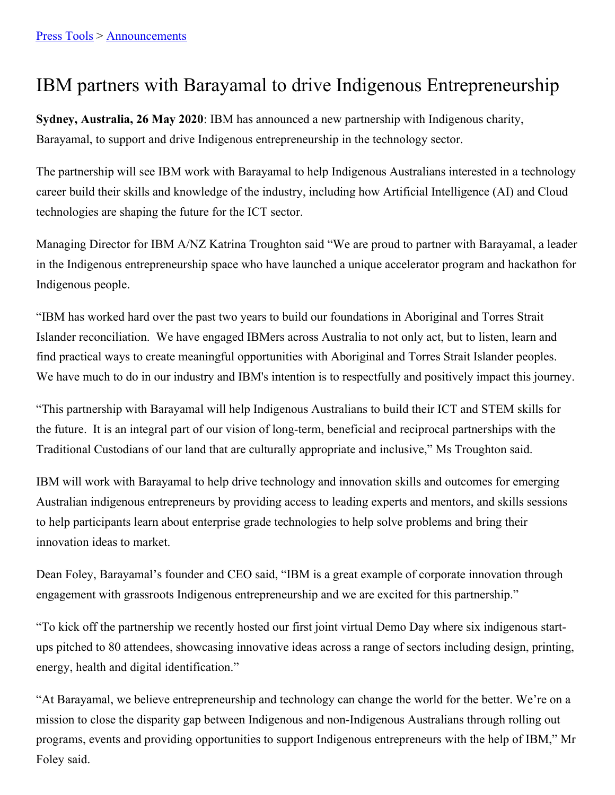## IBM partners with Barayamal to drive Indigenous Entrepreneurship

**Sydney, Australia, 26 May 2020**: IBM has announced a new partnership with Indigenous charity, Barayamal, to support and drive Indigenous entrepreneurship in the technology sector.

The partnership will see IBM work with Barayamal to help Indigenous Australians interested in a technology career build their skills and knowledge of the industry, including how Artificial Intelligence (AI) and Cloud technologies are shaping the future for the ICT sector.

Managing Director for IBM A/NZ Katrina Troughton said "We are proud to partner with Barayamal, a leader in the Indigenous entrepreneurship space who have launched a unique accelerator program and hackathon for Indigenous people.

"IBM has worked hard over the past two years to build our foundations in Aboriginal and Torres Strait Islander reconciliation. We have engaged IBMers across Australia to not only act, but to listen, learn and find practical ways to create meaningful opportunities with Aboriginal and Torres Strait Islander peoples. We have much to do in our industry and IBM's intention is to respectfully and positively impact this journey.

"This partnership with Barayamal will help Indigenous Australians to build their ICT and STEM skills for the future. It is an integral part of our vision of long-term, beneficial and reciprocal partnerships with the Traditional Custodians of our land that are culturally appropriate and inclusive," Ms Troughton said.

IBM will work with Barayamal to help drive technology and innovation skills and outcomes for emerging Australian indigenous entrepreneurs by providing access to leading experts and mentors, and skills sessions to help participants learn about enterprise grade technologies to help solve problems and bring their innovation ideas to market.

Dean Foley, Barayamal's founder and CEO said, "IBM is a great example of corporate innovation through engagement with grassroots Indigenous entrepreneurship and we are excited for this partnership."

"To kick off the partnership we recently hosted our first joint virtual Demo Day where six indigenous startups pitched to 80 attendees, showcasing innovative ideas across a range of sectors including design, printing, energy, health and digital identification."

"At Barayamal, we believe entrepreneurship and technology can change the world for the better. We're on a mission to close the disparity gap between Indigenous and non-Indigenous Australians through rolling out programs, events and providing opportunities to support Indigenous entrepreneurs with the help of IBM," Mr Foley said.